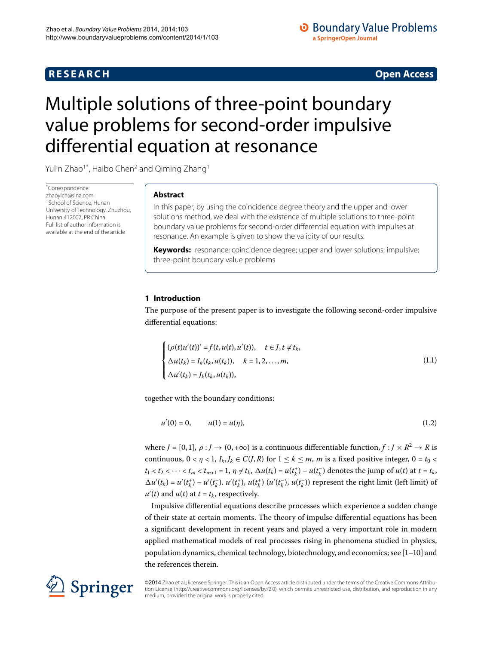## **R E S E A R C H Open Access**

## **O** Boundary Value Problems a SpringerOpen Journal

<span id="page-0-1"></span>

# <span id="page-0-0"></span>Multiple solutions of three-point boundary value problems for second-order impulsive differential equation at resonance

Yulin Zhao<sup>1[\\*](#page-0-0)</sup>, Haibo Chen<sup>2</sup> and Qiming Zhang<sup>[1](#page-15-0)</sup>

\* Correspondence: [zhaoylch@sina.com](mailto:zhaoylch@sina.com) 1School of Science, Hunan University of Technology, Zhuzhou, Hunan 412007, PR China Full list of author information is available at the end of the article

## **Abstract**

In this paper, by using the coincidence degree theory and the upper and lower solutions method, we deal with the existence of multiple solutions to three-point boundary value problems for second-order differential equation with impulses at resonance. An example is given to show the validity of our results.

**Keywords:** resonance; coincidence degree; upper and lower solutions; impulsive; three-point boundary value problems

## **1 Introduction**

The purpose of the present paper is to investigate the following second-order impulsive differential equations:

<span id="page-0-2"></span>
$$
\begin{cases}\n(\rho(t)u'(t))' = f(t, u(t), u'(t)), & t \in J, t \neq t_k, \\
\Delta u(t_k) = I_k(t_k, u(t_k)), & k = 1, 2, ..., m, \\
\Delta u'(t_k) = J_k(t_k, u(t_k)),\n\end{cases}
$$
\n(1.1)

together with the boundary conditions:

$$
u'(0) = 0, \qquad u(1) = u(\eta), \tag{1.2}
$$

where  $J = [0, 1], \rho : J \to (0, +\infty)$  is a continuous differentiable function,  $f : J \times R^2 \to R$  is continuous,  $0 < \eta < 1$ ,  $I_k$ ,  $J_k \in C(J, R)$  for  $1 \le k \le m$ , *m* is a fixed positive integer,  $0 = t_0 <$  $t_1 < t_2 < \cdots < t_m < t_{m+1} = 1$ ,  $\eta \neq t_k$ ,  $\Delta u(t_k) = u(t_k^+) - u(t_k^-)$  denotes the jump of  $u(t)$  at  $t = t_k$ ,  $\Delta u'(t_k) = u'(t_k^+) - u'(t_k^-)$ .  $u'(t_k^+)$ ,  $u(t_k^+)$  ( $u'(t_k^-)$ ,  $u(t_k^-)$ ) represent the right limit (left limit) of  $u'(t)$  and  $u(t)$  at  $t = t_k$ , respectively.

Impulsive differential equations describe processes which experience a sudden change of their state at certain moments. The theory of impulse differential equations has been a significant development in recent years and played a very important role in modern applied mathematical models of real processes rising in phenomena studied in physics, population dynamics, chemical technology, biotechnology, and economics; see  $[1-10]$  $[1-10]$  and the references therein.



©2014 Zhao et al.; licensee Springer. This is an Open Access article distributed under the terms of the Creative Commons Attribution License ([http://creativecommons.org/licenses/by/2.0\)](http://creativecommons.org/licenses/by/2.0), which permits unrestricted use, distribution, and reproduction in any medium, provided the original work is properly cited.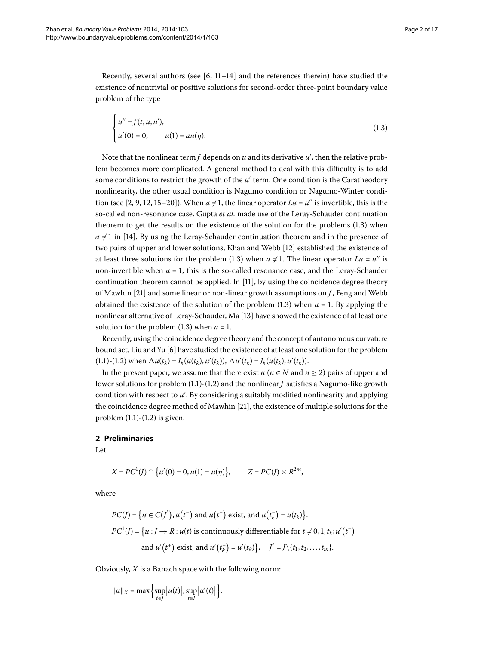Recently[,](#page-15-4) several authors (see  $[6, 11-14]$  $[6, 11-14]$  and the references therein) have studied the existence of nontrivial or positive solutions for second-order three-point boundary value problem of the type

<span id="page-1-0"></span>
$$
\begin{cases}\n u'' = f(t, u, u'), \\
 u'(0) = 0, \qquad u(1) = au(\eta).\n\end{cases}
$$
\n(1.3)

Note that the nonlinear term $f$  depends on  $u$  and its derivative  $u'$ , then the relative problem becomes more complicated. A general method to deal with this difficulty is to add some conditions to restrict the growth of the  $u'$  term. One condition is the Caratheodory nonlinearity, the other usual condition is Nagumo condition or Nagumo-Winter condi-tion (see [\[](#page-15-7)2[,](#page-15-8) 9, 12, 15[–](#page-15-10)20]). When  $a \neq 1$ , the linear operator  $Lu = u''$  is invertible, this is the so-called non-resonance case. Gupta *et al.* made use of the Leray-Schauder continuation theorem to get the results on the existence of the solution for the problems  $(1.3)$  when  $a \neq 1$  in [14[\]](#page-15-6). By using the Leray-Schauder continuation theorem and in the presence of two pairs of upper and lower solutions, Khan and Webb [\[](#page-15-9)12] established the existence of at least three solutions for the problem (1[.](#page-1-0)3) when  $a \neq 1$ . The linear operator  $Lu = u''$  is non-invertible when  $a = 1$ , this is the so-called resonance case, and the Leray-Schauder continuation theorem cannot be applied. In [11], by using the coincidence degree theory of Mawhin [21[\]](#page-16-1) and some linear or non-linear growth assumptions on *f*, Feng and Webb obtained the existence of the solution of the problem  $(1.3)$  when  $a = 1$ . By applying the nonlinear alternative of Leray-Schauder, Ma [[\]](#page-15-11) have showed the existence of at least one solution for the problem  $(1.3)$  when  $a = 1$ .

Recently, using the coincidence degree theory and the concept of autonomous curvature bound set, Liu and Yu  $[6]$  $[6]$  have studied the existence of at least one solution for the problem  $(1.1)-(1.2)$  $(1.1)-(1.2)$  $(1.1)-(1.2)$  when  $\Delta u(t_k) = I_k(u(t_k), u'(t_k))$ ,  $\Delta u'(t_k) = J_k(u(t_k), u'(t_k))$ .

In the present paper, we assume that there exist *n* ( $n \in N$  and  $n \ge 2$ ) pairs of upper and lower solutions for problem  $(1.1)-(1.2)$  and the nonlinear  $f$  satisfies a Nagumo-like growth condition with respect to  $u'$ . By considering a suitably modified nonlinearity and applying the coincidence degree method of Mawhin [21[\]](#page-16-1), the existence of multiple solutions for the problem  $(1.1)-(1.2)$  $(1.1)-(1.2)$  $(1.1)-(1.2)$  is given.

## **2 Preliminaries**

Let

$$
X = PC^{1}(J) \cap \{u'(0) = 0, u(1) = u(\eta)\}, \qquad Z = PC(J) \times R^{2m},
$$

where

$$
PC(J) = \{u \in C(\tilde{J}^*) \colon u(t^-) \text{ and } u(t^+) \text{ exist, and } u(t^-_k) = u(t_k)\}.
$$
  

$$
PC^1(J) = \{u : J \to R : u(t) \text{ is continuously differentiable for } t \neq 0, 1, t_k; u'(t^-) \text{ and } u'(t^+) \text{ exist, and } u'(t^-_k) = u'(t_k)\}, \quad J^* = J \setminus \{t_1, t_2, \dots, t_m\}.
$$

Obviously, *X* is a Banach space with the following norm:

$$
||u||_X = \max \left\{ \sup_{t \in J} |u(t)|, \sup_{t \in J} |u'(t)| \right\}.
$$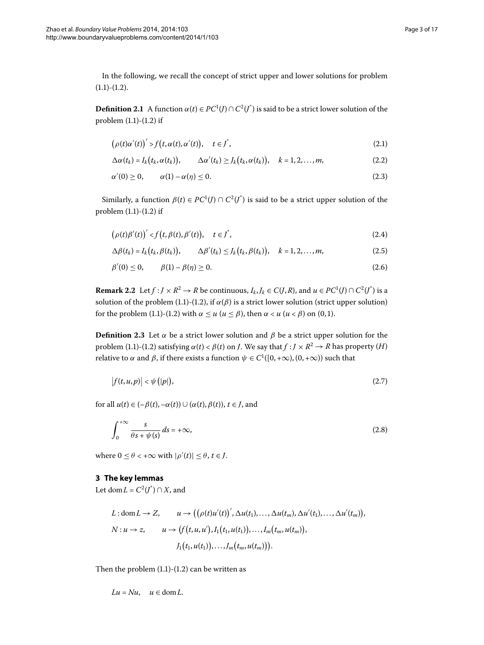In the following, we recall the concept of strict upper and lower solutions for problem  $(1.1)-(1.2).$  $(1.1)-(1.2).$  $(1.1)-(1.2).$ 

**Definition 2.1** A function  $\alpha(t) \in PC^1(J) \cap C^2(J^*)$  is said to be a strict lower solution of the problem  $(1.1)-(1.2)$  $(1.1)-(1.2)$  $(1.1)-(1.2)$  if

$$
\left(\rho(t)\alpha'(t)\right)' > f\left(t, \alpha(t), \alpha'(t)\right), \quad t \in J^*,\tag{2.1}
$$

$$
\Delta \alpha(t_k) = I_k(t_k, \alpha(t_k)), \qquad \Delta \alpha'(t_k) \geq J_k(t_k, \alpha(t_k)), \quad k = 1, 2, \dots, m,
$$
\n(2.2)

<span id="page-2-1"></span>
$$
\alpha'(0) \ge 0, \qquad \alpha(1) - \alpha(\eta) \le 0. \tag{2.3}
$$

Similarly, a function  $\beta(t) \in PC^1(J) \cap C^2(J^*)$  is said to be a strict upper solution of the problem  $(1.1)$  $(1.1)$  $(1.1)$ - $(1.2)$  if

$$
(\rho(t)\beta'(t))' < f(t,\beta(t),\beta'(t)), \quad t \in J^*,
$$
\n(2.4)

$$
\Delta \beta(t_k) = I_k(t_k, \beta(t_k)), \qquad \Delta \beta'(t_k) \leq J_k(t_k, \beta(t_k)), \quad k = 1, 2, \dots, m,
$$
\n(2.5)

$$
\beta'(0) \le 0, \qquad \beta(1) - \beta(\eta) \ge 0. \tag{2.6}
$$

**Remark 2.2** Let  $f : J \times R^2 \to R$  be continuous,  $I_k, J_k \in C(J, R)$ , and  $u \in PC^1(J) \cap C^2(J^*)$  is a solution of the problem (1[.](#page-0-1)1)-(1.2), if  $\alpha(\beta)$  is a strict lower solution (strict upper solution) for the problem (1[.](#page-0-1)1)-(1.2) with  $\alpha \leq u$  ( $u \leq \beta$ ), then  $\alpha < u$  ( $u < \beta$ ) on (0,1).

**Definition 2.3** Let  $\alpha$  be a strict lower solution and  $\beta$  be a strict upper solution for the problem (1[.](#page-0-2)1)-(1.2) satisfying  $\alpha(t) < \beta(t)$  on *J*. We say that  $f: J \times R^2 \to R$  has property (*H*) relative to *α* and *β*, if there exists a function  $\psi \in C^1([0, +\infty), (0, +\infty))$  such that

<span id="page-2-0"></span>
$$
|f(t, u, p)| < \psi(|p|),\tag{2.7}
$$

for all  $u(t) \in (-\beta(t), -\alpha(t)) \cup (\alpha(t), \beta(t)), t \in J$ , and

$$
\int_0^{+\infty} \frac{s}{\theta s + \psi(s)} ds = +\infty, \tag{2.8}
$$

where  $0 \le \theta < +\infty$  with  $|\rho'(t)| \le \theta$ ,  $t \in J$ .

### **3 The key lemmas**

Let dom  $L = C^2(J^*) \cap X$ , and

$$
L: dom L \to Z, \qquad u \to ((\rho(t)u'(t))', \Delta u(t_1), ..., \Delta u(t_m), \Delta u'(t_1), ..., \Delta u'(t_m)),
$$
  
\n
$$
N: u \to z, \qquad u \to (f(t, u, u'), I_1(t_1, u(t_1)), ..., I_m(t_m, u(t_m)),
$$
  
\n
$$
J_1(t_1, u(t_1)), ..., J_m(t_m, u(t_m))).
$$

Then the problem  $(1.1)-(1.2)$  $(1.1)-(1.2)$  $(1.1)-(1.2)$  can be written as

$$
Lu = Nu, \quad u \in \text{dom}\, L.
$$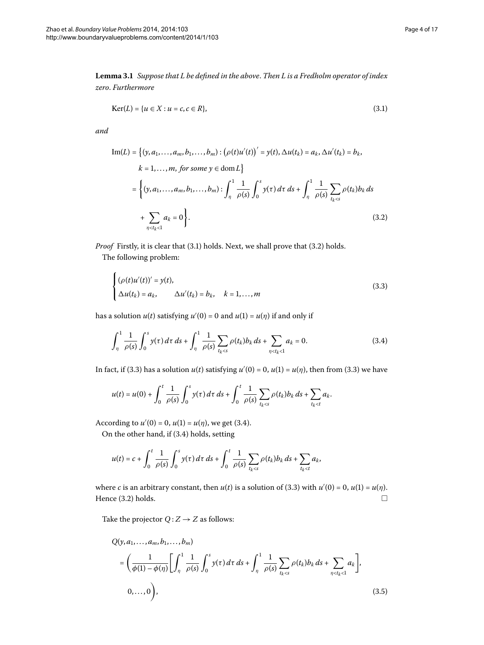<span id="page-3-1"></span>**Lemma .** *Suppose that L be defined in the above*. *Then L is a Fredholm operator of index zero*. *Furthermore*

<span id="page-3-0"></span>
$$
Ker(L) = \{u \in X : u = c, c \in R\},\tag{3.1}
$$

*and*

Im(L) = {
$$
(y, a_1,..., a_m, b_1,..., b_m)
$$
 :  $(\rho(t)u'(t))' = y(t), \Delta u(t_k) = a_k, \Delta u'(t_k) = b_k,$   
\n $k = 1,..., m, for some  $y \in \text{dom } L$ }  
\n= $\{(y, a_1,..., a_m, b_1,..., b_m) : \int_{\eta}^1 \frac{1}{\rho(s)} \int_0^s y(\tau) d\tau ds + \int_{\eta}^1 \frac{1}{\rho(s)} \sum_{t_k < s} \rho(t_k) b_k ds$   
\n $+ \sum_{\eta < t_k < 1} a_k = 0\}$ . (3.2)$ 

*Proof* Firstly, it is clear that (3[.](#page-3-0)1) holds. Next, we shall prove that (3.2) holds.

The following problem:

<span id="page-3-3"></span><span id="page-3-2"></span>
$$
\begin{cases} (\rho(t)u'(t))' = y(t), \\ \Delta u(t_k) = a_k, \qquad \Delta u'(t_k) = b_k, \quad k = 1, \dots, m \end{cases}
$$
 (3.3)

has a solution  $u(t)$  satisfying  $u'(0) = 0$  and  $u(1) = u(\eta)$  if and only if

$$
\int_{\eta}^{1} \frac{1}{\rho(s)} \int_{0}^{s} y(\tau) d\tau ds + \int_{\eta}^{1} \frac{1}{\rho(s)} \sum_{t_k < s} \rho(t_k) b_k ds + \sum_{\eta < t_k < 1} a_k = 0.
$$
 (3.4)

In fact, if (3.3) has a solution  $u(t)$  satisfying  $u'(0) = 0$ ,  $u(1) = u(\eta)$ , then from (3.3) we have

$$
u(t) = u(0) + \int_0^t \frac{1}{\rho(s)} \int_0^s y(\tau) \, d\tau \, ds + \int_0^t \frac{1}{\rho(s)} \sum_{t_k < s} \rho(t_k) b_k \, ds + \sum_{t_k < t} a_k.
$$

According to  $u'(0) = 0$ ,  $u(1) = u(\eta)$ , we get (3.4).

On the other hand, if (3.4) holds, setting

$$
u(t) = c + \int_0^t \frac{1}{\rho(s)} \int_0^s y(\tau) \, d\tau \, ds + \int_0^t \frac{1}{\rho(s)} \sum_{t_k < s} \rho(t_k) b_k \, ds + \sum_{t_k < t} a_k,
$$

where *c* is an arbitrary constant, then  $u(t)$  is a solution of (3[.](#page-3-2)3) with  $u'(0) = 0$ ,  $u(1) = u(\eta)$ . Hence  $(3.2)$  holds.  $\Box$ 

Take the projector  $Q:Z\to Z$  as follows:

<span id="page-3-4"></span>
$$
Q(y, a_1, ..., a_m, b_1, ..., b_m)
$$
  
=  $\left(\frac{1}{\phi(1) - \phi(\eta)} \left[ \int_{\eta}^1 \frac{1}{\rho(s)} \int_0^s y(\tau) d\tau ds + \int_{\eta}^1 \frac{1}{\rho(s)} \sum_{t_k < s} \rho(t_k) b_k ds + \sum_{\eta < t_k < 1} a_k \right],$   
0, ..., 0  $\right),$  (3.5)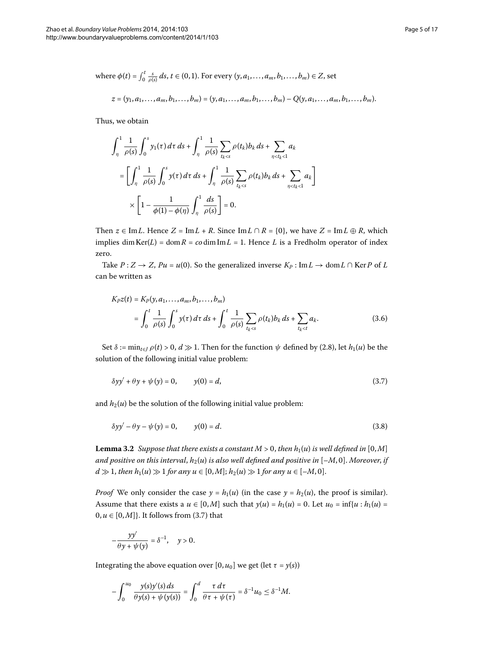where 
$$
\phi(t) = \int_0^t \frac{s}{\rho(s)} ds, t \in (0, 1)
$$
. For every  $(y, a_1, ..., a_m, b_1, ..., b_m) \in Z$ , set  

$$
z = (y_1, a_1, ..., a_m, b_1, ..., b_m) = (y, a_1, ..., a_m, b_1, ..., b_m) - Q(y, a_1, ..., a_m, b_1, ..., b_m).
$$

Thus, we obtain

$$
\int_{\eta}^{1} \frac{1}{\rho(s)} \int_{0}^{s} y_{1}(\tau) d\tau ds + \int_{\eta}^{1} \frac{1}{\rho(s)} \sum_{t_{k} < s} \rho(t_{k}) b_{k} ds + \sum_{\eta < t_{k} < 1} a_{k}
$$
  
\n
$$
= \left[ \int_{\eta}^{1} \frac{1}{\rho(s)} \int_{0}^{s} y(\tau) d\tau ds + \int_{\eta}^{1} \frac{1}{\rho(s)} \sum_{t_{k} < s} \rho(t_{k}) b_{k} ds + \sum_{\eta < t_{k} < 1} a_{k} \right]
$$
  
\n
$$
\times \left[ 1 - \frac{1}{\phi(1) - \phi(\eta)} \int_{\eta}^{1} \frac{ds}{\rho(s)} \right] = 0.
$$

<span id="page-4-3"></span>Then  $z \in \text{Im } L$ . Hence  $Z = \text{Im } L + R$ . Since  $\text{Im } L \cap R = \{0\}$ , we have  $Z = \text{Im } L \oplus R$ , which implies dim Ker( $L$ ) = dom  $R = co$  dim Im $L = 1$ . Hence  $L$  is a Fredholm operator of index zero.

Take  $P: Z \to Z$ ,  $Pu = u(0)$ . So the generalized inverse  $K_P: Im L \to dom L \cap Ker P$  of *L* can be written as

<span id="page-4-0"></span>
$$
K_P z(t) = K_P(y, a_1, ..., a_m, b_1, ..., b_m)
$$
  
= 
$$
\int_0^t \frac{1}{\rho(s)} \int_0^s y(\tau) d\tau ds + \int_0^t \frac{1}{\rho(s)} \sum_{t_k < s} \rho(t_k) b_k ds + \sum_{t_k < t} a_k.
$$
 (3.6)

Set  $\delta := \min_{t \in I} \rho(t) > 0, d \gg 1$ . Then for the function  $\psi$  defined by (2.8), let  $h_1(u)$  be the solution of the following initial value problem:

<span id="page-4-2"></span>
$$
\delta y y' + \theta y + \psi(y) = 0, \qquad y(0) = d,\tag{3.7}
$$

<span id="page-4-1"></span>and  $h_2(u)$  be the solution of the following initial value problem:

$$
\delta y y' - \theta y - \psi(y) = 0, \qquad y(0) = d. \tag{3.8}
$$

**Lemma 3.2** Suppose that there exists a constant  $M > 0$ , then  $h_1(u)$  is well defined in [0, M] *and positive on this interval,*  $h_2(u)$  *is also well defined and positive in*  $[-M, 0]$ *. Moreover, if*  $d \gg 1$ , then  $h_1(u) \gg 1$  for any  $u \in [0,M]$ ;  $h_2(u) \gg 1$  for any  $u \in [-M,0]$ .

*Proof* We only consider the case  $y = h_1(u)$  (in the case  $y = h_2(u)$ , the proof is similar). Assume that there exists a  $u \in [0,M]$  such that  $y(u) = h_1(u) = 0$ . Let  $u_0 = \inf\{u : h_1(u) = 0\}$  $0, u \in [0, M]$ . It follows from (3.7) that

$$
-\frac{yy'}{\theta y+\psi(y)}=\delta^{-1}, \quad y>0.
$$

Integrating the above equation over  $[0, u_0]$  we get (let  $\tau = y(s)$ )

$$
-\int_0^{u_0} \frac{y(s)y'(s) ds}{\theta y(s) + \psi(y(s))} = \int_0^d \frac{\tau dt}{\theta \tau + \psi(\tau)} = \delta^{-1} u_0 \leq \delta^{-1} M.
$$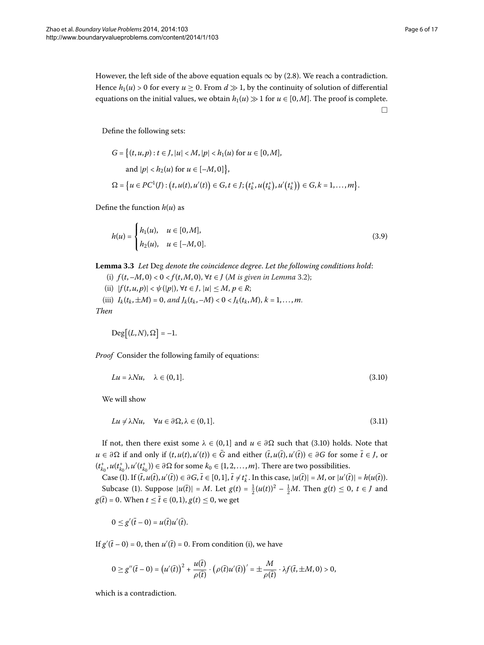However, the left side of the above equation equals  $\infty$  by (2.8). We reach a contradiction. Hence  $h_1(u) > 0$  for every  $u \ge 0$ . From  $d \gg 1$ , by the continuity of solution of differential equations on the initial values, we obtain  $h_1(u) \gg 1$  for  $u \in [0,M]$ . The proof is complete.  $\Box$ 

Define the following sets:

<span id="page-5-3"></span>
$$
G = \{(t, u, p) : t \in J, |u| < M, |p| < h_1(u) \text{ for } u \in [0, M],
$$
\n
$$
\text{and } |p| < h_2(u) \text{ for } u \in [-M, 0] \},
$$
\n
$$
\Omega = \{ u \in PC^1(J) : (t, u(t), u'(t)) \in G, t \in J; (t_k^+, u(t_k^+), u'(t_k^+)) \in G, k = 1, \dots, m \}.
$$

<span id="page-5-2"></span>Define the function  $h(u)$  as

$$
h(u) = \begin{cases} h_1(u), & u \in [0, M], \\ h_2(u), & u \in [-M, 0]. \end{cases}
$$
 (3.9)

**Lemma .** *Let* Deg *denote the coincidence degree*. *Let the following conditions hold*:

- (i)  $f(t, -M, 0) < 0 < f(t, M, 0)$ ,  $\forall t \in J$  (*M* is given in Lemma 3[.](#page-4-1)2);
- (ii)  $|f(t, u, p)| < \psi(|p|)$ ,  $\forall t \in J, |u| \le M, p \in R$ ; (iii)  $I_k(t_k, \pm M) = 0$ , and  $J_k(t_k, -M) < 0 < J_k(t_k, M)$ ,  $k = 1, ..., m$ .

*Then*

<span id="page-5-1"></span><span id="page-5-0"></span>
$$
\mathrm{Deg}[(L,N),\Omega]=-1.
$$

*Proof* Consider the following family of equations:

$$
Lu = \lambda Nu, \quad \lambda \in (0, 1]. \tag{3.10}
$$

We will show

$$
Lu \neq \lambda Nu, \quad \forall u \in \partial \Omega, \lambda \in (0,1]. \tag{3.11}
$$

If not, then there exist some  $\lambda \in (0,1]$  and  $u \in \partial \Omega$  such that (3.10) holds. Note that  $u \in \partial \Omega$  if and only if  $(t, u(t), u'(t)) \in G$  and either  $(\bar{t}, u(\bar{t}), u'(\bar{t})) \in \partial G$  for some  $\bar{t} \in J$ , or  $(t_{k_0}^+, u(t_{k_0}^+), u'(t_{k_0}^+)) \in \partial \Omega$  for some  $k_0 \in \{1, 2, \ldots, m\}$ . There are two possibilities.

Case (I). If  $(\bar{t}, u(\bar{t}), u'(\bar{t})) \in \partial G$ ,  $\bar{t} \in [0, 1]$ ,  $\bar{t} \neq t_k^+$ . In this case,  $|u(\bar{t})| = M$ , or  $|u'(\bar{t})| = h(u(\bar{t}))$ . Subcase (1). Suppose  $|u(\bar{t})| = M$ . Let  $g(t) = \frac{1}{2}(u(t))^2 - \frac{1}{2}M$ . Then  $g(t) \le 0$ ,  $t \in J$  and  $g(\bar{t}) = 0$ . When  $t \leq \bar{t} \in (0,1)$ ,  $g(t) \leq 0$ , we get

$$
0\leq g'(\bar{t}-0)=u(\bar{t})u'(\bar{t}).
$$

If  $g'(\bar{t} - 0) = 0$ , then  $u'(\bar{t}) = 0$ . From condition (i), we have

$$
0 \ge g''(\bar{t}-0) = (u'(\bar{t}))^2 + \frac{u(\bar{t})}{\rho(\bar{t})} \cdot (\rho(\bar{t})u'(\bar{t}))' = \pm \frac{M}{\rho(\bar{t})} \cdot \lambda f(\bar{t}, \pm M, 0) > 0,
$$

which is a contradiction.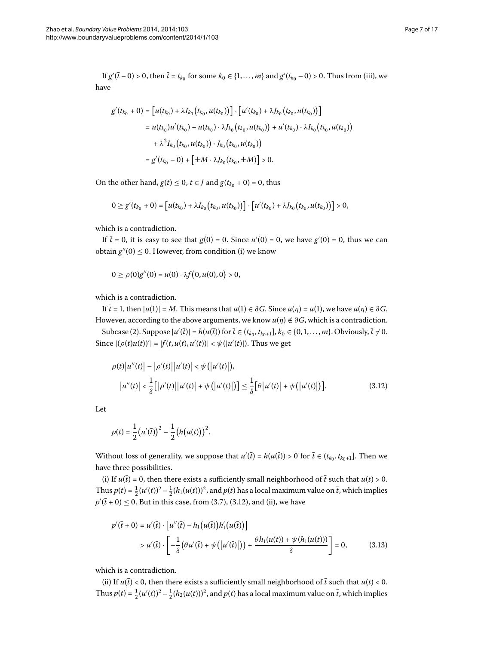If  $g'(t-0) > 0$ , then  $\bar{t} = t_{k_0}$  for some  $k_0 \in \{1, ..., m\}$  and  $g'(t_{k_0} - 0) > 0$ . Thus from (iii), we have

$$
g'(t_{k_0} + 0) = [u(t_{k_0}) + \lambda I_{k_0}(t_{k_0}, u(t_{k_0}))] \cdot [u'(t_{k_0}) + \lambda J_{k_0}(t_{k_0}, u(t_{k_0}))]
$$
  
\n
$$
= u(t_{k_0})u'(t_{k_0}) + u(t_{k_0}) \cdot \lambda J_{k_0}(t_{k_0}, u(t_{k_0})) + u'(t_{k_0}) \cdot \lambda I_{k_0}(t_{k_0}, u(t_{k_0}))
$$
  
\n
$$
+ \lambda^2 I_{k_0}(t_{k_0}, u(t_{k_0})) \cdot J_{k_0}(t_{k_0}, u(t_{k_0}))
$$
  
\n
$$
= g'(t_{k_0} - 0) + [\pm M \cdot \lambda J_{k_0}(t_{k_0}, \pm M)] > 0.
$$

On the other hand,  $g(t) \le 0$ ,  $t \in J$  and  $g(t_{k_0} + 0) = 0$ , thus

$$
0 \ge g'(t_{k_0}+0) = [u(t_{k_0}) + \lambda I_{k_0}(t_{k_0}, u(t_{k_0}))] \cdot [u'(t_{k_0}) + \lambda J_{k_0}(t_{k_0}, u(t_{k_0}))] > 0,
$$

which is a contradiction.

If  $\bar{t}$  = 0, it is easy to see that  $g(0)$  = 0. Since  $u'(0)$  = 0, we have  $g'(0)$  = 0, thus we can obtain  $g''(0) \leq 0$ . However, from condition (i) we know

<span id="page-6-0"></span>
$$
0 \geq \rho(0)g''(0) = u(0) \cdot \lambda f(0, u(0), 0) > 0,
$$

which is a contradiction.

If  $\bar{t} = 1$ , then  $|u(1)| = M$ . This means that  $u(1) \in \partial G$ . Since  $u(\eta) = u(1)$ , we have  $u(\eta) \in \partial G$ . However, according to the above arguments, we know  $u(\eta) \notin \partial G$ , which is a contradiction.

Subcase (2). Suppose  $|u'(t)| = h(u(t))$  for  $t \in (t_{k_0}, t_{k_0+1}], k_0 \in \{0, 1, ..., m\}$ . Obviously,  $t \neq 0$ . Since  $|(\rho(t)u(t))'| = |f(t, u(t), u'(t))| < \psi(|u'(t)|)$ . Thus we get

$$
\rho(t) |u''(t)| - |\rho'(t)| |u'(t)| < \psi(|u'(t)|),
$$
  
\n
$$
|u''(t)| < \frac{1}{\delta} [|\rho'(t)| |u'(t)| + \psi(|u'(t)|)] \le \frac{1}{\delta} [\theta |u'(t)| + \psi(|u'(t)|)].
$$
\n(3.12)

Let

$$
p(t) = \frac{1}{2} (u'(\bar{t}))^{2} - \frac{1}{2} (h(u(t)))^{2}.
$$

<span id="page-6-1"></span>Without loss of generality, we suppose that  $u'(\bar{t}) = h(u(\bar{t})) > 0$  for  $\bar{t} \in (t_{k_0}, t_{k_0+1}]$ . Then we have three possibilities.

(i) If  $u(\bar{t}) = 0$ , then there exists a sufficiently small neighborhood of  $\bar{t}$  such that  $u(t) > 0$ . Thus  $p(t) = \frac{1}{2}(u'(t))^2 - \frac{1}{2}(h_1(u(t)))^2$ , and  $p(t)$  has a local maximum value on  $\bar{t}$ , which implies  $p'(\bar{t} + 0) \le 0$ . But in this case, from (3.7), (3.12), and (ii), we have

$$
p'(\bar{t} + 0) = u'(\bar{t}) \cdot [u''(\bar{t}) - h_1(u(\bar{t}))h'_1(u(\bar{t}))]
$$
  
>  $u'(\bar{t}) \cdot [-\frac{1}{\delta}(\theta u'(\bar{t}) + \psi(|u'(\bar{t})|)) + \frac{\theta h_1(u(t)) + \psi(h_1(u(t)))}{\delta}] = 0,$  (3.13)

which is a contradiction.

(ii) If  $u(t) < 0$ , then there exists a sufficiently small neighborhood of  $t$  such that  $u(t) < 0$ . Thus  $p(t) = \frac{1}{2}(u'(t))^2 - \frac{1}{2}(h_2(u(t)))^2$ , and  $p(t)$  has a local maximum value on  $\bar{t}$ , which implies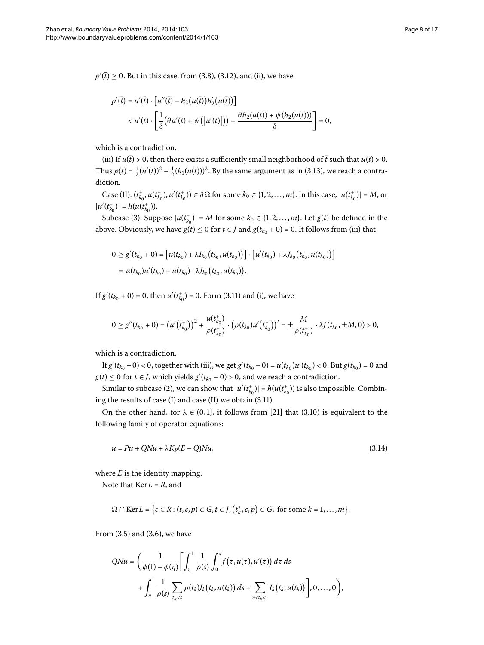$p'(\bar{t}) \geq 0$ . But in this case, from (3.8), (3.12), and (ii), we have

$$
p'(\bar{t}) = u'(\bar{t}) \cdot [u''(\bar{t}) - h_2(u(\bar{t}))h'_2(u(\bar{t}))]
$$
  

$$
< u'(\bar{t}) \cdot \left[\frac{1}{\delta}(\theta u'(\bar{t}) + \psi(|u'(\bar{t})|)) - \frac{\theta h_2(u(t)) + \psi(h_2(u(t)))}{\delta}\right] = 0,
$$

which is a contradiction.

(iii) If  $u(t) > 0$ , then there exists a sufficiently small neighborhood of  $\bar{t}$  such that  $u(t) > 0$ . Thus  $p(t) = \frac{1}{2}(u'(t))^2 - \frac{1}{2}(h_1(u(t)))^2$ . By the same argument as in (3.13), we reach a contradiction.

 $\text{Case (II)}.~(t_{k_0}^+, u(t_{k_0}^+), u'(t_{k_0}^+)) \in \partial \Omega \text{ for some } k_0 \in \{1, 2, ..., m\}.$  In this case,  $|u(t_{k_0}^+)| = M$ , or  $|u'(t_{k_0}^+)| = h(u(t_{k_0}^+)).$ 

Subcase (3). Suppose  $|u(t_{k_0}^{\dagger})| = M$  for some  $k_0 \in \{1, 2, ..., m\}$ . Let  $g(t)$  be defined in the above. Obviously, we have  $g(t) \le 0$  for  $t \in J$  and  $g(t_{k_0} + 0) = 0$ . It follows from (iii) that

$$
0 \ge g'(t_{k_0} + 0) = [u(t_{k_0}) + \lambda I_{k_0}(t_{k_0}, u(t_{k_0}))] \cdot [u'(t_{k_0}) + \lambda J_{k_0}(t_{k_0}, u(t_{k_0}))]
$$
  
=  $u(t_{k_0})u'(t_{k_0}) + u(t_{k_0}) \cdot \lambda J_{k_0}(t_{k_0}, u(t_{k_0}))$ .

If  $g'(t_{k_0} + 0) = 0$ , then  $u'(t_{k_0}^+) = 0$ [.](#page-5-1) Form (3.11) and (i), we have

<span id="page-7-0"></span>
$$
0 \ge g''(t_{k_0}+0) = (u'(t_{k_0}^+))^2 + \frac{u(t_{k_0}^+)}{\rho(t_{k_0}^+)} \cdot (\rho(t_{k_0})u'(t_{k_0}^+))' = \pm \frac{M}{\rho(t_{k_0}^+)} \cdot \lambda f(t_{k_0}, \pm M, 0) > 0,
$$

which is a contradiction.

If  $g'(t_{k_0} + 0) < 0$ , together with (iii), we get  $g'(t_{k_0} - 0) = u(t_{k_0})u'(t_{k_0}) < 0$ . But  $g(t_{k_0}) = 0$  and *g*(*t*) ≤ 0 for *t* ∈ *J*, which yields *g*'( $t_{k_0}$  − 0) > 0, and we reach a contradiction.

Similar to subcase (2), we can show that  $|u'(t_{k_0}^+)| = h(u(t_{k_0}^+))$  is also impossible. Combining the results of case  $(I)$  and case  $(II)$  we obtain  $(3.11)$ .

On the other hand, for  $\lambda \in (0,1]$  $\lambda \in (0,1]$ , it follows from [21] that (3[.](#page-5-0)10) is equivalent to the following family of operator equations:

$$
u = Pu + QNu + \lambda K_P(E - Q)Nu,
$$
\n(3.14)

where  $E$  is the identity mapping.

Note that  $Ker L = R$ , and

$$
\Omega \cap \text{Ker}\,L = \Big\{c \in R : (t, c, p) \in G, t \in J; (t_k^+, c, p) \in G, \text{ for some } k = 1, \ldots, m\Big\}.
$$

From  $(3.5)$  and  $(3.6)$ , we have

$$
QNu = \left(\frac{1}{\phi(1) - \phi(\eta)} \left[ \int_{\eta}^{1} \frac{1}{\rho(s)} \int_{0}^{s} f(\tau, u(\tau), u'(\tau)) d\tau ds + \int_{\eta}^{1} \frac{1}{\rho(s)} \sum_{t_k < s} \rho(t_k) J_k(t_k, u(t_k)) ds + \sum_{\eta < t_k < 1} I_k(t_k, u(t_k)) \right], 0, \ldots, 0 \right),
$$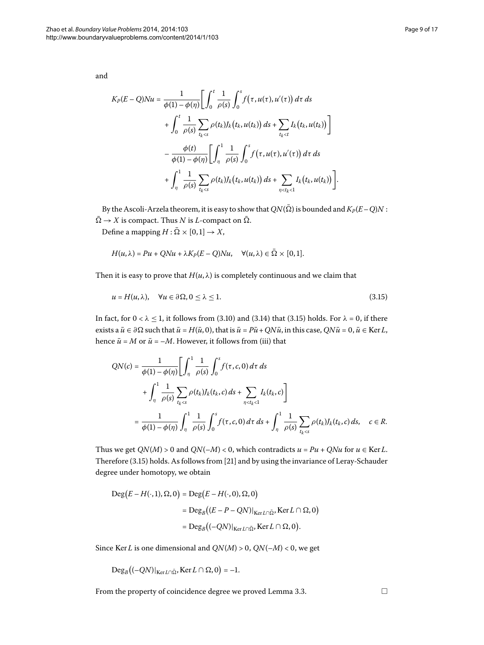$$
K_P(E-Q)Nu = \frac{1}{\phi(1) - \phi(\eta)} \Biggl[ \int_0^t \frac{1}{\rho(s)} \int_0^s f(\tau, u(\tau), u'(\tau)) d\tau ds + \int_0^t \frac{1}{\rho(s)} \sum_{t_k < s} \rho(t_k) J_k(t_k, u(t_k)) ds + \sum_{t_k < t} I_k(t_k, u(t_k)) \Biggr] - \frac{\phi(t)}{\phi(1) - \phi(\eta)} \Biggl[ \int_{\eta}^1 \frac{1}{\rho(s)} \int_0^s f(\tau, u(\tau), u'(\tau)) d\tau ds + \int_{\eta}^1 \frac{1}{\rho(s)} \sum_{t_k < s} \rho(t_k) J_k(t_k, u(t_k)) ds + \sum_{\eta < t_k < 1} I_k(t_k, u(t_k)) \Biggr].
$$

By the Ascoli-Arzela theorem, it is easy to show that  $QN(\bar{\Omega})$  is bounded and  $K_P(E-Q)N$  :  $\overline{\Omega} \rightarrow X$  is compact. Thus *N* is *L*-compact on  $\overline{\Omega}$ .

Define a mapping  $H : \overline{\Omega} \times [0,1] \rightarrow X$ ,

<span id="page-8-0"></span>
$$
H(u, \lambda) = Pu + QNu + \lambda K_P(E - Q)Nu, \quad \forall (u, \lambda) \in \Omega \times [0, 1].
$$

Then it is easy to prove that  $H(u, \lambda)$  is completely continuous and we claim that

$$
u = H(u, \lambda), \quad \forall u \in \partial \Omega, 0 \le \lambda \le 1. \tag{3.15}
$$

In fact, for  $0 < \lambda \le 1$ , it follows from (3[.](#page-8-0)10) and (3.14) that (3.15) holds. For  $\lambda = 0$ , if there exists a  $\bar{u} \in \partial \Omega$  such that  $\bar{u} = H(\bar{u}, 0)$ , that is  $\bar{u} = P\bar{u} + QN\bar{u}$ , in this case,  $QN\bar{u} = 0$ ,  $\bar{u} \in \text{Ker } L$ , hence  $\bar{u} = M$  or  $\bar{u} = -M$ . However, it follows from (iii) that

$$
QN(c) = \frac{1}{\phi(1) - \phi(\eta)} \left[ \int_{\eta}^{1} \frac{1}{\rho(s)} \int_{0}^{s} f(\tau, c, 0) d\tau ds + \int_{\eta \le t}^{1} \frac{1}{\rho(s)} \sum_{t_k < s} \rho(t_k) J_k(t_k, c) ds + \sum_{\eta < t_k < 1} I_k(t_k, c) \right]
$$
  
= 
$$
\frac{1}{\phi(1) - \phi(\eta)} \int_{\eta}^{1} \frac{1}{\rho(s)} \int_{0}^{s} f(\tau, c, 0) d\tau ds + \int_{\eta}^{1} \frac{1}{\rho(s)} \sum_{t_k < s} \rho(t_k) J_k(t_k, c) ds, \quad c \in R.
$$

Thus we get  $QN(M) > 0$  and  $QN(-M) < 0$ , which contradicts  $u = Pu + QNu$  for  $u \in \text{Ker } L$ . Therefore (3[.](#page-8-0)15) holds. As follows from [21] and by using the invariance of Leray-Schauder degree under homotopy, we obtain

$$
Deg(E - H(\cdot, 1), \Omega, 0) = Deg(E - H(\cdot, 0), \Omega, 0)
$$
  
= 
$$
Deg_B((E - P - QN)|_{KerL \cap \bar{\Omega}}, Ker L \cap \Omega, 0)
$$
  
= 
$$
Deg_B((-QN)|_{KerL \cap \bar{\Omega}}, Ker L \cap \Omega, 0).
$$

Since Ker *L* is one dimensional and  $QN(M) > 0$ ,  $QN(-M) < 0$ , we get

$$
\mathrm{Deg}_{B}\big((-QN)|_{\mathrm{Ker}\, L\cap\bar{\Omega}},\mathrm{Ker}\, L\cap\Omega,0\big)=-1.
$$

From the property of coincidence degree we proved Lemma 3[.](#page-5-2)3.  $\Box$ 

and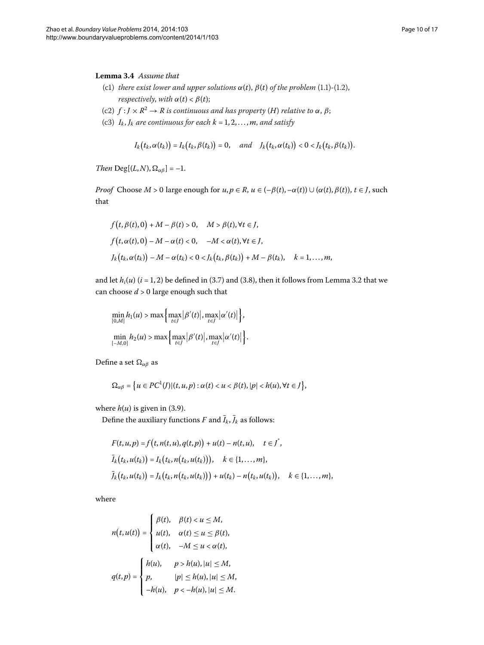#### <span id="page-9-0"></span>Lemma 3.4 Assume that

- (c1) *there exist lower and upper solutions*  $\alpha(t)$ ,  $\beta(t)$  *of the problem* (1.1)-(1.2), *respectively, with*  $\alpha(t) < \beta(t)$ ;
- (c2)  $f: J \times R^2 \to R$  *is continuous and has property* (*H*) *relative to*  $\alpha$ ,  $\beta$ ;
- (c3)  $I_k$ ,  $J_k$  are continuous for each  $k = 1, 2, ..., m$ , and satisfy

$$
I_k(t_k,\alpha(t_k)) = I_k(t_k,\beta(t_k)) = 0, \quad \text{and} \quad J_k(t_k,\alpha(t_k)) < 0 < J_k(t_k,\beta(t_k)).
$$

*Then*  $Deg[(L, N), \Omega_{\alpha\beta}] = -1$ *.* 

*Proof* Choose  $M > 0$  large enough for  $u, p \in R$ ,  $u \in (-\beta(t), -\alpha(t)) \cup (\alpha(t), \beta(t))$ ,  $t \in J$ , such that

$$
f(t, \beta(t), 0) + M - \beta(t) > 0, \quad M > \beta(t), \forall t \in J,
$$
\n
$$
f(t, \alpha(t), 0) - M - \alpha(t) < 0, \quad -M < \alpha(t), \forall t \in J,
$$
\n
$$
J_k(t_k, \alpha(t_k)) - M - \alpha(t_k) < 0 < J_k(t_k, \beta(t_k)) + M - \beta(t_k), \quad k = 1, \dots, m,
$$

and let  $h_i(u)$  ( $i = 1, 2$ ) be defined in (3[.](#page-4-1)7) and (3.8), then it follows from Lemma 3.2 that we can choose  $d > 0$  large enough such that

$$
\min_{[0,M]} h_1(u) > \max\left\{\max_{t \in J} |\beta'(t)|, \max_{t \in J} |\alpha'(t)|\right\},\
$$

$$
\min_{[-M,0]} h_2(u) > \max\left\{\max_{t \in J} |\beta'(t)|, \max_{t \in J} |\alpha'(t)|\right\}.
$$

Define a set *αβ* as

$$
\Omega_{\alpha\beta} = \left\{ u \in PC^1(J) | (t, u, p) : \alpha(t) < u < \beta(t), |p| < h(u), \forall t \in J \right\},\
$$

where  $h(u)$  is given in (3[.](#page-5-3)9).

Define the auxiliary functions *F* and  $\bar{I}_k$ ,  $\bar{J}_k$  as follows:

$$
F(t, u, p) = f(t, n(t, u), q(t, p)) + u(t) - n(t, u), \quad t \in I^*,
$$
  
\n
$$
\bar{I}_k(t_k, u(t_k)) = I_k(t_k, n(t_k, u(t_k))), \quad k \in \{1, ..., m\},
$$
  
\n
$$
\bar{J}_k(t_k, u(t_k)) = J_k(t_k, n(t_k, u(t_k))) + u(t_k) - n(t_k, u(t_k)), \quad k \in \{1, ..., m\},
$$

where

$$
n(t, u(t)) = \begin{cases} \beta(t), & \beta(t) < u \le M, \\ u(t), & \alpha(t) \le u \le \beta(t), \\ \alpha(t), & -M \le u < \alpha(t), \end{cases}
$$
\n
$$
q(t, p) = \begin{cases} h(u), & p > h(u), |u| \le M, \\ p, & |p| \le h(u), |u| \le M, \\ -h(u), & p < -h(u), |u| \le M. \end{cases}
$$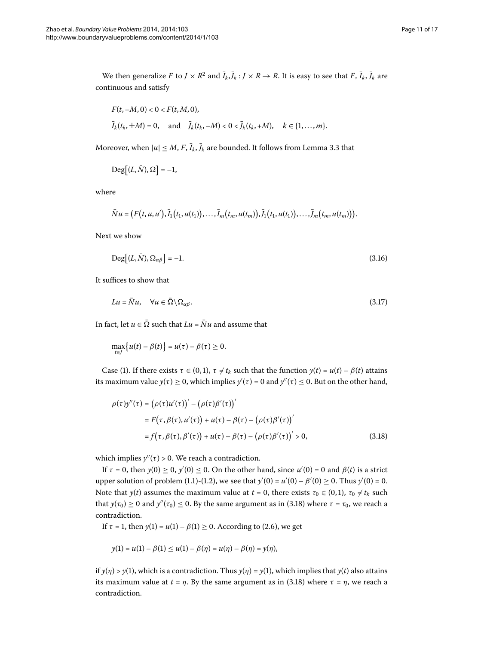We then generalize *F* to *J* × *R*<sup>2</sup> and  $\bar{I}_k$ ,  $\bar{J}_k$  : *J* × *R* → *R*. It is easy to see that *F*,  $\bar{I}_k$ ,  $\bar{J}_k$  are continuous and satisfy

$$
F(t, -M, 0) < 0 < F(t, M, 0),
$$
\n
$$
\bar{I}_k(t_k, \pm M) = 0, \quad \text{and} \quad \bar{J}_k(t_k, -M) < 0 < \bar{J}_k(t_k, +M), \quad k \in \{1, \dots, m\}.
$$

Moreover, when  $|u| \le M$ ,  $F$ ,  $\bar{I}_k$ ,  $\bar{J}_k$  are bounded[.](#page-5-2) It follows from Lemma 3.3 that

<span id="page-10-2"></span>
$$
Deg[(L,\bar{N}),\Omega]=-1,
$$

where

<span id="page-10-1"></span>
$$
\bar{N}u = (F(t, u, u'), \bar{I}_1(t_1, u(t_1)), \ldots, \bar{I}_m(t_m, u(t_m)), \bar{J}_1(t_1, u(t_1)), \ldots, \bar{J}_m(t_m, u(t_m))).
$$

Next we show

$$
\text{Deg}\big[(L,\bar{N}),\Omega_{\alpha\beta}\big]=-1.\tag{3.16}
$$

It suffices to show that

$$
Lu = \bar{N}u, \quad \forall u \in \bar{\Omega} \backslash \Omega_{\alpha\beta}.
$$
\n(3.17)

<span id="page-10-0"></span>In fact, let  $u \in \overline{\Omega}$  such that  $Lu = \overline{N}u$  and assume that

$$
\max_{t \in J} \{ u(t) - \beta(t) \} = u(\tau) - \beta(\tau) \geq 0.
$$

Case (1). If there exists  $\tau \in (0,1)$ ,  $\tau \neq t_k$  such that the function  $y(t) = u(t) - \beta(t)$  attains its maximum value  $y(\tau) \ge 0$ , which implies  $y'(\tau) = 0$  and  $y''(\tau) \le 0$ . But on the other hand,

$$
\rho(\tau)y''(\tau) = (\rho(\tau)u'(\tau))' - (\rho(\tau)\beta'(\tau))'
$$
  
=  $F(\tau, \beta(\tau), u'(\tau)) + u(\tau) - \beta(\tau) - (\rho(\tau)\beta'(\tau))'$   
=  $f(\tau, \beta(\tau), \beta'(\tau)) + u(\tau) - \beta(\tau) - (\rho(\tau)\beta'(\tau))' > 0,$  (3.18)

which implies  $y''(\tau)$  > 0. We reach a contradiction.

If  $\tau = 0$ , then  $y(0) \ge 0$ ,  $y'(0) \le 0$ . On the other hand, since  $u'(0) = 0$  and  $\beta(t)$  is a strict upper solution of problem (1[.](#page-0-2)1)-(1.2), we see that  $y'(0) = u'(0) - \beta'(0) \ge 0$ . Thus  $y'(0) = 0$ . Note that *y*(*t*) assumes the maximum value at *t* = 0, there exists  $\tau_0 \in (0,1)$ ,  $\tau_0 \neq t_k$  such that  $y(\tau_0) \ge 0$  and  $y''(\tau_0) \le 0$ . By the same argument as in (3.18) where  $\tau = \tau_0$ , we reach a contradiction.

If  $\tau = 1$ , then  $y(1) = u(1) - \beta(1) \ge 0$ [.](#page-2-1) According to (2.6), we get

$$
y(1) = u(1) - \beta(1) \le u(1) - \beta(\eta) = u(\eta) - \beta(\eta) = y(\eta),
$$

if *y*(*η*) > *y*(1), which is a contradiction. Thus *y*(*η*) = *y*(1), which implies that *y*(*t*) also attains its maximum value at  $t = \eta$ [.](#page-10-0) By the same argument as in (3.18) where  $\tau = \eta$ , we reach a contradiction.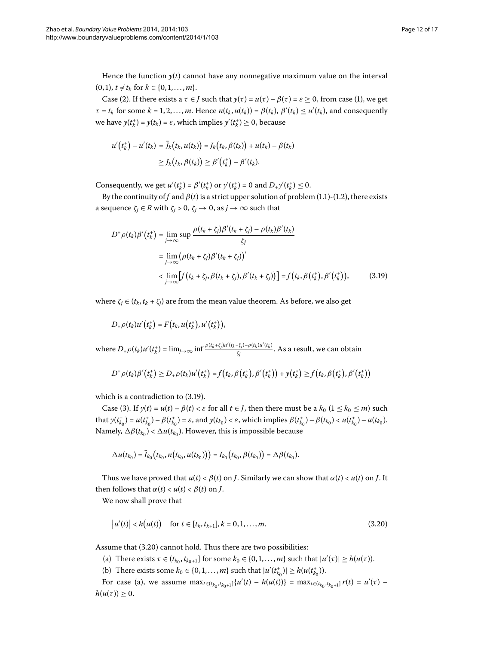Hence the function  $y(t)$  cannot have any nonnegative maximum value on the interval  $(0, 1), t \neq t_k$  for  $k \in \{0, 1, ..., m\}.$ 

Case (2). If there exists a  $\tau \in J$  such that  $y(\tau) = u(\tau) - \beta(\tau) = \varepsilon \ge 0$ , from case (1), we get  $\tau = t_k$  for some  $k = 1, 2, ..., m$ . Hence  $n(t_k, u(t_k)) = \beta(t_k)$ ,  $\beta'(t_k) \le u'(t_k)$ , and consequently we have  $y(t_k^+) = y(t_k) = \varepsilon$ , which implies  $y'(t_k^+) \ge 0$ , because

$$
u'(t_k^+) - u'(t_k) = \overline{J}_k(t_k, u(t_k)) = J_k(t_k, \beta(t_k)) + u(t_k) - \beta(t_k)
$$
  
\n
$$
\geq J_k(t_k, \beta(t_k)) \geq \beta'(t_k^+) - \beta'(t_k).
$$

<span id="page-11-0"></span>Consequently, we get  $u'(t_k^+) = \beta'(t_k^+)$  or  $y'(t_k^+) = 0$  and  $D_+y'(t_k^+) \le 0$ .

By the continuity of *f* and  $\beta(t)$  is a strict upper solution of problem (1[.](#page-0-1)1)-(1.2), there exists a sequence  $\zeta_j \in R$  with  $\zeta_j > 0$ ,  $\zeta_j \to 0$ , as  $j \to \infty$  such that

$$
D^+\rho(t_k)\beta'(t_k^+) = \lim_{j\to\infty} \sup \frac{\rho(t_k + \zeta_j)\beta'(t_k + \zeta_j) - \rho(t_k)\beta'(t_k)}{\zeta_j}
$$
  
= 
$$
\lim_{j\to\infty} (\rho(t_k + \zeta_j)\beta'(t_k + \zeta_j))'
$$
  
< 
$$
< \lim_{j\to\infty} [f(t_k + \zeta_j, \beta(t_k + \zeta_j), \beta'(t_k + \zeta_j))] = f(t_k, \beta(t_k^+), \beta'(t_k^+)),
$$
 (3.19)

where  $\zeta_i \in (t_k, t_k + \zeta_i)$  are from the mean value theorem. As before, we also get

$$
D_{+}\rho(t_{k})u'(t_{k}^{+})=F(t_{k},u(t_{k}^{+}),u'(t_{k}^{+})),
$$

where  $D_+ \rho(t_k) u'(t_k^+)=\lim_{j\to \infty} \inf \frac{\rho(t_k+\zeta_j) u'(t_k+\zeta_j)-\rho(t_k) u'(t_k)}{\zeta_j}.$  As a result, we can obtain

$$
D^+\rho(t_k)\beta'(t_k^+) \ge D_+\rho(t_k)u'(t_k^+) = f(t_k,\beta(t_k^+),\beta'(t_k^+)) + y(t_k^+) \ge f(t_k,\beta(t_k^+),\beta'(t_k^+))
$$

which is a contradiction to  $(3.19)$ .

Case (3). If  $y(t) = u(t) - \beta(t) < \varepsilon$  for all  $t \in J$ , then there must be a  $k_0$  ( $1 \le k_0 \le m$ ) such that  $y(t_{k_0}^+) = u(t_{k_0}^+) - \beta(t_{k_0}^+) = \varepsilon$ , and  $y(t_{k_0}) < \varepsilon$ , which implies  $\beta(t_{k_0}^+) - \beta(t_{k_0}) < u(t_{k_0}^+) - u(t_{k_0})$ . Namely,  $\Delta \beta(t_{k_0}) < \Delta u(t_{k_0})$ . However, this is impossible because

<span id="page-11-1"></span>
$$
\Delta u(t_{k_0}) = \bar{I}_{k_0}(t_{k_0}, n(t_{k_0}, u(t_{k_0}))) = I_{k_0}(t_{k_0}, \beta(t_{k_0})) = \Delta \beta(t_{k_0}).
$$

Thus we have proved that  $u(t) < \beta(t)$  on *J*. Similarly we can show that  $\alpha(t) < u(t)$  on *J*. It then follows that  $\alpha(t) < u(t) < \beta(t)$  on *J*.

We now shall prove that

$$
|u'(t)| < h(u(t)) \quad \text{for } t \in [t_k, t_{k+1}], k = 0, 1, ..., m.
$$
 (3.20)

Assume that  $(3.20)$  cannot hold. Thus there are two possibilities:

- (a) There exists  $\tau \in (t_{k_0}, t_{k_0+1}]$  for some  $k_0 \in \{0, 1, \ldots, m\}$  such that  $|u'(\tau)| \ge h(u(\tau))$ .
- (b) There exists some  $k_0 \in \{0, 1, ..., m\}$  such that  $|u'(t_{k_0}^{\dagger})| \geq h(u(t_{k_0}^{\dagger}))$ .

For case (a), we assume  $\max_{t \in (t_{k_0}, t_{k_0+1}]} \{u'(t) - h(u(t))\} = \max_{t \in (t_{k_0}, t_{k_0+1}]} r(t) = u'(\tau)$  $h(u(\tau)) \geq 0.$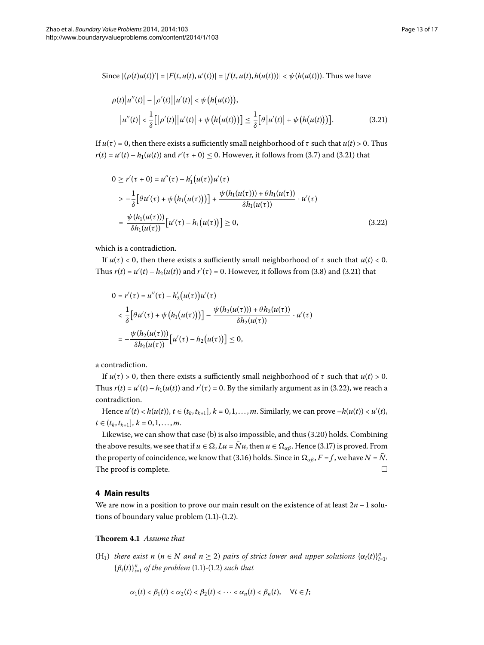Since  $|(\rho(t)u(t))'| = |F(t, u(t), u'(t))| = |f(t, u(t), h(u(t)))| < \psi(h(u(t))).$  Thus we have

<span id="page-12-1"></span><span id="page-12-0"></span>
$$
\rho(t) |u''(t)| - |\rho'(t)| |u'(t)| < \psi(h(u(t))),
$$
  
\n
$$
|u''(t)| < \frac{1}{\delta} [|\rho'(t)| |u'(t)| + \psi(h(u(t)))] \le \frac{1}{\delta} [\theta |u'(t)| + \psi(h(u(t)))].
$$
\n(3.21)

If  $u(τ) = 0$ , then there exists a sufficiently small neighborhood of *τ* such that  $u(t) > 0$ . Thus  $r(t) = u'(t) - h_1(u(t))$  and  $r'(\tau + 0) \le 0$ . However, it follows from (3.7) and (3.21) that

$$
0 \ge r'(\tau + 0) = u''(\tau) - h'_1(u(\tau))u'(\tau)
$$
  
\n
$$
> -\frac{1}{\delta} [\theta u'(\tau) + \psi (h_1(u(\tau)))] + \frac{\psi (h_1(u(\tau))) + \theta h_1(u(\tau))}{\delta h_1(u(\tau))} \cdot u'(\tau)
$$
  
\n
$$
= \frac{\psi (h_1(u(\tau)))}{\delta h_1(u(\tau))} [u'(\tau) - h_1(u(\tau))] \ge 0,
$$
\n(3.22)

which is a contradiction.

If  $u(τ) < 0$ , then there exists a sufficiently small neighborhood of *τ* such that  $u(t) < 0$ . Thus  $r(t) = u'(t) - h_2(u(t))$  and  $r'(\tau) = 0$ [.](#page-12-0) However, it follows from (3.8) and (3.21) that

$$
0 = r'(\tau) = u''(\tau) - h'_2(u(\tau))u'(\tau)
$$
  

$$
< \frac{1}{\delta} [\theta u'(\tau) + \psi (h_1(u(\tau)))] - \frac{\psi (h_2(u(\tau))) + \theta h_2(u(\tau))}{\delta h_2(u(\tau))} \cdot u'(\tau)
$$
  

$$
= -\frac{\psi (h_2(u(\tau)))}{\delta h_2(u(\tau))} [u'(\tau) - h_2(u(\tau))] \le 0,
$$

a contradiction.

If  $u(τ) > 0$ , then there exists a sufficiently small neighborhood of *τ* such that  $u(t) > 0$ . Thus  $r(t) = u'(t) - h_1(u(t))$  and  $r'(\tau) = 0$ [.](#page-12-1) By the similarly argument as in (3.22), we reach a contradiction.

Hence  $u'(t) < h(u(t))$ ,  $t \in (t_k, t_{k+1}]$ ,  $k = 0, 1, ..., m$ . Similarly, we can prove  $-h(u(t)) < u'(t)$ ,  $t \in (t_k, t_{k+1}], k = 0, 1, \ldots, m.$ 

Likewise, we can show that case (b) is also impossible, and thus  $(3.20)$  holds. Combining the above results, we see that if  $u \in \Omega$ ,  $Lu = \overline{N}u$ , then  $u \in \Omega_{\alpha\beta}$ . Hence (3.17) is proved. From the property of coincidence, we know that (3.16) holds. Since in  $\Omega_{\alpha\beta}$ ,  $F = f$ , we have  $N = \overline{N}$ . The proof is complete.  $\Box$ 

#### <span id="page-12-2"></span>**4 Main results**

We are now in a position to prove our main result on the existence of at least  $2n - 1$  solutions of boundary value problem  $(1.1)-(1.2)$  $(1.1)-(1.2)$  $(1.1)-(1.2)$ .

## **Theorem 4.1** Assume that

 $(H_1)$  *there exist*  $n (n \in N$  *and*  $n \geq 2)$  *pairs of strict lower and upper solutions*  $\{\alpha_i(t)\}_{i=1}^n$  ${\beta_i(t)}_{i=1}^n$  *of the problem* (1.1)-(1.2) *such that* 

$$
\alpha_1(t) < \beta_1(t) < \alpha_2(t) < \beta_2(t) < \cdots < \alpha_n(t) < \beta_n(t), \quad \forall t \in J;
$$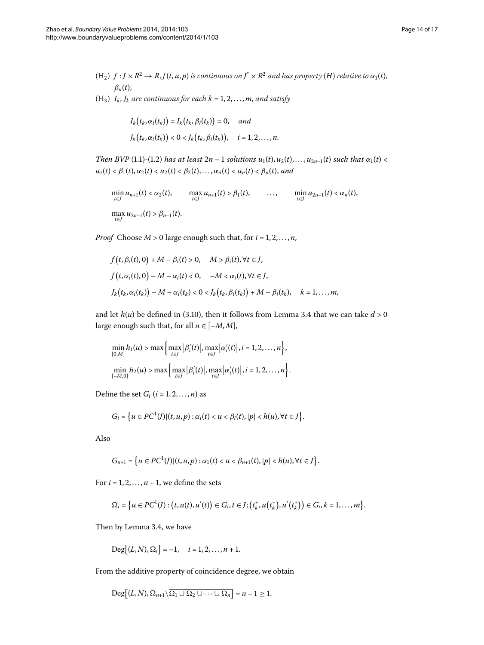- $(H_2)$   $f: J \times R^2 \to R$ ,  $f(t, u, p)$  *is continuous on*  $J^* \times R^2$  *and has property*  $(H)$  *relative to*  $\alpha_1(t)$ , *βn*(*t*);
- $(H_3)$   $I_k$ ,  $J_k$  are continuous for each  $k = 1, 2, ..., m$ , and satisfy

$$
I_k(t_k, \alpha_i(t_k)) = I_k(t_k, \beta_i(t_k)) = 0, \quad and
$$
  

$$
J_k(t_k, \alpha_i(t_k)) < 0 < J_k(t_k, \beta_i(t_k)), \quad i = 1, 2, ..., n.
$$

*Then BVP* (1[.](#page-0-1)1)-(1.2) *has at least*  $2n - 1$  *solutions*  $u_1(t), u_2(t), \ldots, u_{2n-1}(t)$  *such that*  $\alpha_1(t)$  <  $u_1(t) < \beta_1(t), \alpha_2(t) < u_2(t) < \beta_2(t), \ldots, \alpha_n(t) < u_n(t) < \beta_n(t),$  and

$$
\min_{t \in J} u_{n+1}(t) < \alpha_2(t), \qquad \max_{t \in J} u_{n+1}(t) > \beta_1(t), \qquad \dots, \qquad \min_{t \in J} u_{2n-1}(t) < \alpha_n(t),
$$
\n
$$
\max_{t \in J} u_{2n-1}(t) > \beta_{n-1}(t).
$$

*Proof* Choose  $M > 0$  large enough such that, for  $i = 1, 2, ..., n$ ,

$$
f(t, \beta_i(t), 0) + M - \beta_i(t) > 0, \quad M > \beta_i(t), \forall t \in J,
$$
\n
$$
f(t, \alpha_i(t), 0) - M - \alpha_i(t) < 0, \quad -M < \alpha_i(t), \forall t \in J,
$$
\n
$$
J_k(t_k, \alpha_i(t_k)) - M - \alpha_i(t_k) < 0 < J_k(t_k, \beta_i(t_k)) + M - \beta_i(t_k), \quad k = 1, \dots, m,
$$

and let  $h(u)$  be defined in (3[.](#page-9-0)10), then it follows from Lemma 3.4 that we can take  $d > 0$ large enough such that, for all  $u \in [-M, M]$ ,

$$
\min_{[0,M]} h_1(u) > \max \left\{ \max_{t \in J} |\beta'_i(t)|, \max_{t \in J} |\alpha'_i(t)|, i = 1, 2, ..., n \right\},
$$

$$
\min_{[-M,0]} h_2(u) > \max \left\{ \max_{t \in J} |\beta'_i(t)|, \max_{t \in J} |\alpha'_i(t)|, i = 1, 2, ..., n \right\}.
$$

Define the set  $G_i$   $(i = 1, 2, ..., n)$  as

$$
G_i = \left\{u \in PC^1(J) | (t,u,p) : \alpha_i(t) < u < \beta_i(t), |p| < h(u), \forall t \in J\right\}.
$$

Also

$$
G_{n+1} = \{u \in PC^1(J) | (t, u, p) : \alpha_1(t) < u < \beta_{n+1}(t), |p| < h(u), \forall t \in J\}.
$$

For  $i = 1, 2, ..., n + 1$ , we define the sets

$$
\Omega_i = \big\{ u \in PC^1(J) : (t, u(t), u'(t)) \in G_i, t \in J; (t_k^+, u(t_k^+), u'(t_k^+)) \in G_i, k = 1, ..., m \big\}.
$$

Then by Lemma 3[.](#page-9-0)4, we have

$$
Deg[(L,N),\Omega_i]=-1, \quad i=1,2,\ldots,n+1.
$$

From the additive property of coincidence degree, we obtain

$$
\mathrm{Deg}\big[(L,N),\Omega_{n+1}\backslash\overline{\Omega_1\cup\Omega_2\cup\cdots\cup\Omega_n}\big]=n-1\geq 1.
$$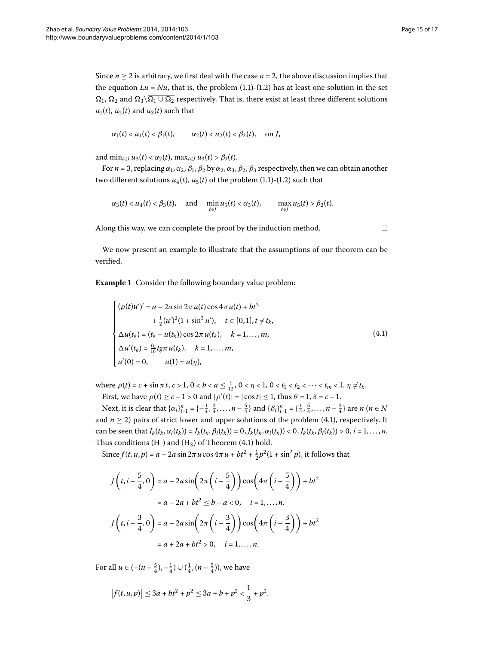$u_1(t)$ ,  $u_2(t)$  and  $u_3(t)$  such that

$$
\alpha_1(t) < u_1(t) < \beta_1(t), \qquad \alpha_2(t) < u_2(t) < \beta_2(t), \quad \text{on } J
$$

and  $\min_{t \in I} u_3(t) < \alpha_2(t)$ ,  $\max_{t \in I} u_3(t) > \beta_1(t)$ .

For  $n = 3$ , replacing  $\alpha_1, \alpha_2, \beta_1, \beta_2$  by  $\alpha_2, \alpha_3, \beta_2, \beta_3$  respectively, then we can obtain another two different solutions  $u_4(t)$ ,  $u_5(t)$  of the problem (1.1)-(1.2) such that

$$
\alpha_3(t) < u_4(t) < \beta_3(t), \quad \text{and} \quad \min_{t \in J} u_5(t) < \alpha_3(t), \qquad \max_{t \in J} u_5(t) > \beta_2(t).
$$

Along this way, we can complete the proof by the induction method.  $\Box$ 

We now present an example to illustrate that the assumptions of our theorem can be verified.

**Example 1** Consider the following boundary value problem:

$$
\begin{cases}\n(\rho(t)u')' = a - 2a \sin 2\pi u(t) \cos 4\pi u(t) + bt^2 \\
+ \frac{1}{2}(u')^2(1 + \sin^2 u'), \quad t \in [0,1], t \neq t_k, \\
\Delta u(t_k) = (t_k - u(t_k)) \cos 2\pi u(t_k), \quad k = 1,..., m, \\
\Delta u'(t_k) = \frac{t_k}{16} t g \pi u(t_k), \quad k = 1,..., m, \\
u'(0) = 0, \qquad u(1) = u(\eta),\n\end{cases}
$$
\n(4.1)

where  $\rho(t) = c + \sin \pi t$ ,  $c > 1$ ,  $0 < b < a \le \frac{1}{12}$ ,  $0 < \eta < 1$ ,  $0 < t_1 < t_2 < \cdots < t_m < 1$ ,  $\eta \ne t_k$ . First, we have  $\rho(t) \ge c - 1 > 0$  and  $|\rho'(t)| = |\cos t| \le 1$ , thus  $\theta = 1$ ,  $\delta = c - 1$ .

Next, it is clear that  $\{\alpha_i\}_{i=1}^n = \{-\frac{1}{4}, \frac{3}{4}, \dots, n - \frac{5}{4}\}$  and  $\{\beta_i\}_{i=1}^n = \{\frac{1}{4}, \frac{5}{4}, \dots, n - \frac{3}{4}\}$  are  $n \ (n \in \mathbb{N})$ and  $n \ge 2$ ) pairs of strict lower and upper solutions of the problem (4.1), respectively. It can be seen that  $I_k(t_k, \alpha_i(t_k)) = I_k(t_k, \beta_i(t_k)) = 0, I_k(t_k, \alpha_i(t_k)) < 0, I_k(t_k, \beta_i(t_k)) > 0, i = 1, ..., n$ . Thus conditions  $(H_1)$  and  $(H_3)$  of Theorem (4.1) hold.

Since  $f(t, u, p) = a - 2a \sin 2\pi u \cos 4\pi u + bt^2 + \frac{1}{2}p^2(1 + \sin^2 p)$ , it follows that

$$
f\left(t, i - \frac{5}{4}, 0\right) = a - 2a \sin\left(2\pi\left(i - \frac{5}{4}\right)\right) \cos\left(4\pi\left(i - \frac{5}{4}\right)\right) + bt^2
$$
  

$$
= a - 2a + bt^2 \le b - a < 0, \quad i = 1, ..., n.
$$
  

$$
f\left(t, i - \frac{3}{4}, 0\right) = a - 2a \sin\left(2\pi\left(i - \frac{3}{4}\right)\right) \cos\left(4\pi\left(i - \frac{3}{4}\right)\right) + bt^2
$$
  

$$
= a + 2a + bt^2 > 0, \quad i = 1, ..., n.
$$

For all  $u \in \left( -(n - \frac{5}{4}), -\frac{1}{4} \right) \cup \left( \frac{1}{4}, (n - \frac{5}{4}) \right)$ , we have

$$
|f(t,u,p)| \leq 3a + bt^2 + p^2 \leq 3a + b + p^2 < \frac{1}{3} + p^2.
$$

<span id="page-14-0"></span>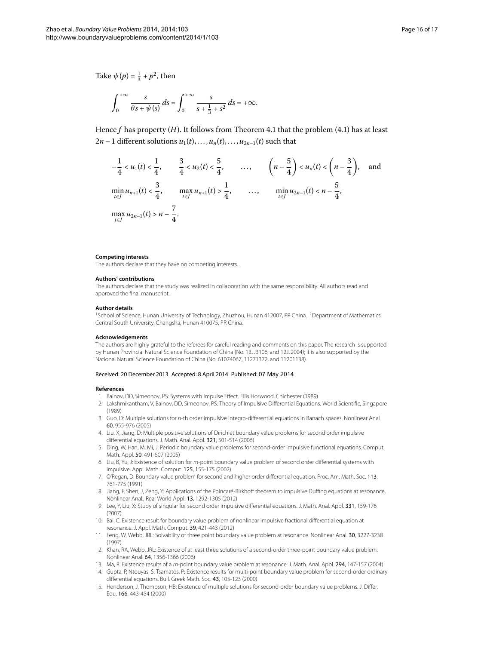Take  $\psi(p) = \frac{1}{3} + p^2$ , then

$$
\int_0^{+\infty} \frac{s}{\theta s + \psi(s)} ds = \int_0^{+\infty} \frac{s}{s + \frac{1}{3} + s^2} ds = +\infty.
$$

Hence  $f$  has property  $(H)$ [.](#page-12-2) It follows from Theorem 4.1 that the problem (4.1) has at least  $2n-1$  different solutions  $u_1(t), \ldots, u_n(t), \ldots, u_{2n-1}(t)$  such that

$$
-\frac{1}{4} < u_1(t) < \frac{1}{4}, \qquad \frac{3}{4} < u_2(t) < \frac{5}{4}, \qquad \dots, \qquad \left(n - \frac{5}{4}\right) < u_n(t) < \left(n - \frac{3}{4}\right), \quad \text{and}
$$
\n
$$
\min_{t \in J} u_{n+1}(t) < \frac{3}{4}, \qquad \max_{t \in J} u_{n+1}(t) > \frac{1}{4}, \qquad \dots, \qquad \min_{t \in J} u_{2n-1}(t) < n - \frac{5}{4},
$$
\n
$$
\max_{t \in J} u_{2n-1}(t) > n - \frac{7}{4}.
$$

#### <span id="page-15-1"></span><span id="page-15-0"></span>**Competing interests**

The authors declare that they have no competing interests.

#### **Authors' contributions**

The authors declare that the study was realized in collaboration with the same responsibility. All authors read and approved the final manuscript.

#### **Author details**

<span id="page-15-2"></span><sup>1</sup>School of Science, Hunan University of Technology, Zhuzhou, Hunan 412007, PR China. <sup>2</sup>Department of Mathematics, Central South University, Changsha, Hunan 410075, PR China.

#### <span id="page-15-7"></span>**Acknowledgements**

The authors are highly grateful to the referees for careful reading and comments on this paper. The research is supported by Hunan Provincial Natural Science Foundation of China (No. 13JJ3106, and 12JJ2004); it is also supported by the National Natural Science Foundation of China (No. 61074067, 11271372, and 11201138).

#### Received: 20 December 2013 Accepted: 8 April 2014 Published: 07 May 2014

#### <span id="page-15-4"></span>**References**

- 1. Bainov, DD, Simeonov, PS: Systems with Impulse Effect. Ellis Horwood, Chichester (1989)
- 2. Lakshmikantham, V, Bainov, DD, Simeonov, PS: Theory of Impulsive Differential Equations. World Scientific, Singapore (1989)
- 3. Guo, D: Multiple solutions for n-th order impulsive integro-differential equations in Banach spaces. Nonlinear Anal. 60, 955-976 (2005)
- <span id="page-15-8"></span>4. Liu, X, Jiang, D: Multiple positive solutions of Dirichlet boundary value problems for second order impulsive differential equations. J. Math. Anal. Appl. 321, 501-514 (2006)
- <span id="page-15-3"></span>5. Ding, W, Han, M, Mi, J: Periodic boundary value problems for second-order impulsive functional equations. Comput. Math. Appl. 50, 491-507 (2005)
- <span id="page-15-5"></span>6. Liu, B, Yu, J: Existence of solution for m-point boundary value problem of second order differential systems with impulsive. Appl. Math. Comput. 125, 155-175 (2002)
- <span id="page-15-9"></span>7. O'Regan, D: Boundary value problem for second and higher order differential equation. Proc. Am. Math. Soc. 113, 761-775 (1991)
- <span id="page-15-11"></span><span id="page-15-6"></span>8. Jiang, F, Shen, J, Zeng, Y: Applications of the Poincaré-Birkhoff theorem to impulsive Duffing equations at resonance. Nonlinear Anal., Real World Appl. 13, 1292-1305 (2012)
- 9. Lee, Y, Liu, X: Study of singular for second order impulsive differential equations. J. Math. Anal. Appl. 331, 159-176 (2007)
- <span id="page-15-10"></span>10. Bai, C: Existence result for boundary value problem of nonlinear impulsive fractional differential equation at resonance. J. Appl. Math. Comput. 39, 421-443 (2012)
- 11. Feng, W, Webb, JRL: Solvability of three point boundary value problem at resonance. Nonlinear Anal. 30, 3227-3238 (1997)
- 12. Khan, RA, Webb, JRL: Existence of at least three solutions of a second-order three-point boundary value problem. Nonlinear Anal. 64, 1356-1366 (2006)
- 13. Ma, R: Existence results of a m-point boundary value problem at resonance. J. Math. Anal. Appl. 294, 147-157 (2004)
- 14. Gupta, P, Ntouyas, S, Tsamatos, P: Existence results for multi-point boundary value problem for second-order ordinary differential equations. Bull. Greek Math. Soc. 43, 105-123 (2000)
- 15. Henderson, J, Thompson, HB: Existence of multiple solutions for second-order boundary value problems. J. Differ. Equ. 166, 443-454 (2000)